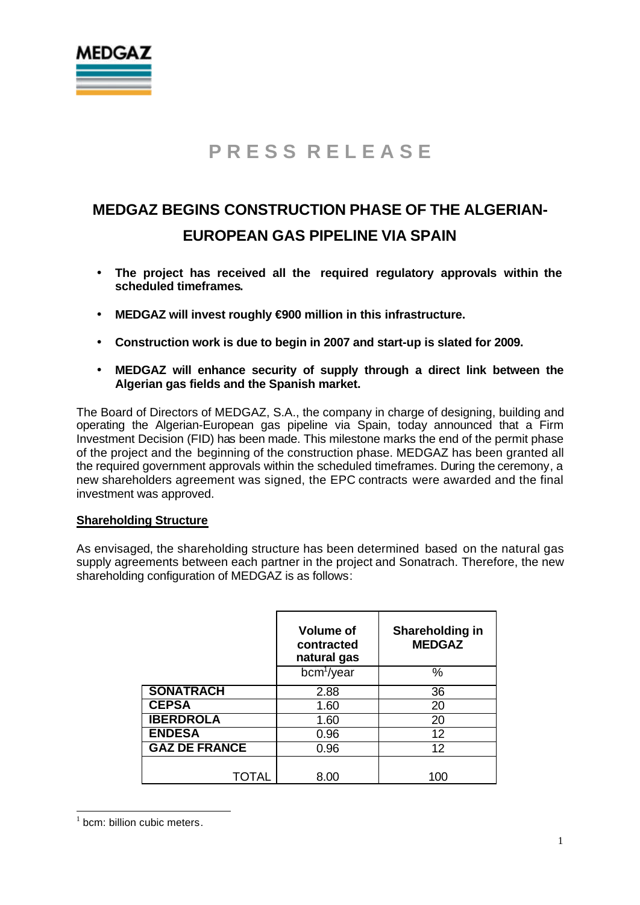

## **MEDGAZ BEGINS CONSTRUCTION PHASE OF THE ALGERIAN-EUROPEAN GAS PIPELINE VIA SPAIN**

- **The project has received all the required regulatory approvals within the scheduled timeframes.**
- **MEDGAZ will invest roughly €900 million in this infrastructure.**
- **Construction work is due to begin in 2007 and start-up is slated for 2009.**
- **MEDGAZ will enhance security of supply through a direct link between the Algerian gas fields and the Spanish market.**

The Board of Directors of MEDGAZ, S.A., the company in charge of designing, building and operating the Algerian-European gas pipeline via Spain, today announced that a Firm Investment Decision (FID) has been made. This milestone marks the end of the permit phase of the project and the beginning of the construction phase. MEDGAZ has been granted all the required government approvals within the scheduled timeframes. During the ceremony, a new shareholders agreement was signed, the EPC contracts were awarded and the final investment was approved.

#### **Shareholding Structure**

As envisaged, the shareholding structure has been determined based on the natural gas supply agreements between each partner in the project and Sonatrach. Therefore, the new shareholding configuration of MEDGAZ is as follows:

|                      | <b>Volume of</b><br>contracted<br>natural gas | Shareholding in<br><b>MEDGAZ</b> |  |  |  |  |  |
|----------------------|-----------------------------------------------|----------------------------------|--|--|--|--|--|
|                      | bcm <sup>1</sup> /year                        | $\%$                             |  |  |  |  |  |
| <b>SONATRACH</b>     | 2.88                                          | 36                               |  |  |  |  |  |
| <b>CEPSA</b>         | 1.60                                          | 20                               |  |  |  |  |  |
| <b>IBERDROLA</b>     | 1.60                                          | 20                               |  |  |  |  |  |
| <b>ENDESA</b>        | 0.96                                          | 12                               |  |  |  |  |  |
| <b>GAZ DE FRANCE</b> | 0.96                                          | 12 <sup>2</sup>                  |  |  |  |  |  |
|                      |                                               |                                  |  |  |  |  |  |
| TOTAL                | 8.00                                          | 100                              |  |  |  |  |  |

 $1$  bcm: billion cubic meters.

 $\overline{a}$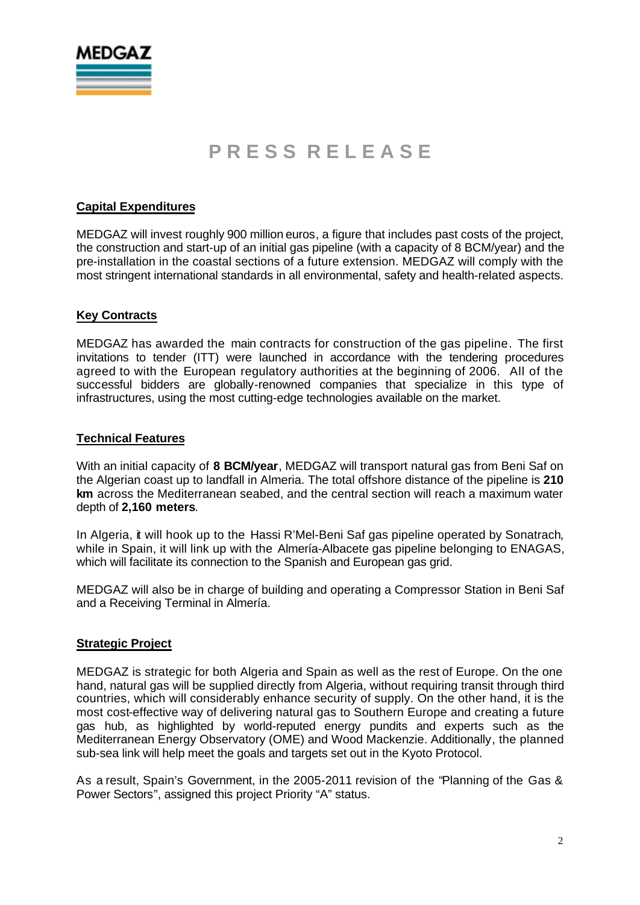

#### **Capital Expenditures**

MEDGAZ will invest roughly 900 million euros, a figure that includes past costs of the project, the construction and start-up of an initial gas pipeline (with a capacity of 8 BCM/year) and the pre-installation in the coastal sections of a future extension. MEDGAZ will comply with the most stringent international standards in all environmental, safety and health-related aspects.

#### **Key Contracts**

MEDGAZ has awarded the main contracts for construction of the gas pipeline. The first invitations to tender (ITT) were launched in accordance with the tendering procedures agreed to with the European regulatory authorities at the beginning of 2006. All of the successful bidders are globally-renowned companies that specialize in this type of infrastructures, using the most cutting-edge technologies available on the market.

#### **Technical Features**

With an initial capacity of **8 BCM/year**, MEDGAZ will transport natural gas from Beni Saf on the Algerian coast up to landfall in Almeria. The total offshore distance of the pipeline is **210 km** across the Mediterranean seabed, and the central section will reach a maximum water depth of **2,160 meters**.

In Algeria, it will hook up to the Hassi R'Mel-Beni Saf gas pipeline operated by Sonatrach, while in Spain, it will link up with the Almería-Albacete gas pipeline belonging to ENAGAS. which will facilitate its connection to the Spanish and European gas grid.

MEDGAZ will also be in charge of building and operating a Compressor Station in Beni Saf and a Receiving Terminal in Almería.

#### **Strategic Project**

MEDGAZ is strategic for both Algeria and Spain as well as the rest of Europe. On the one hand, natural gas will be supplied directly from Algeria, without requiring transit through third countries, which will considerably enhance security of supply. On the other hand, it is the most cost-effective way of delivering natural gas to Southern Europe and creating a future gas hub, as highlighted by world-reputed energy pundits and experts such as the Mediterranean Energy Observatory (OME) and Wood Mackenzie. Additionally, the planned sub-sea link will help meet the goals and targets set out in the Kyoto Protocol.

As a result, Spain's Government, in the 2005-2011 revision of the "Planning of the Gas & Power Sectors", assigned this project Priority "A" status.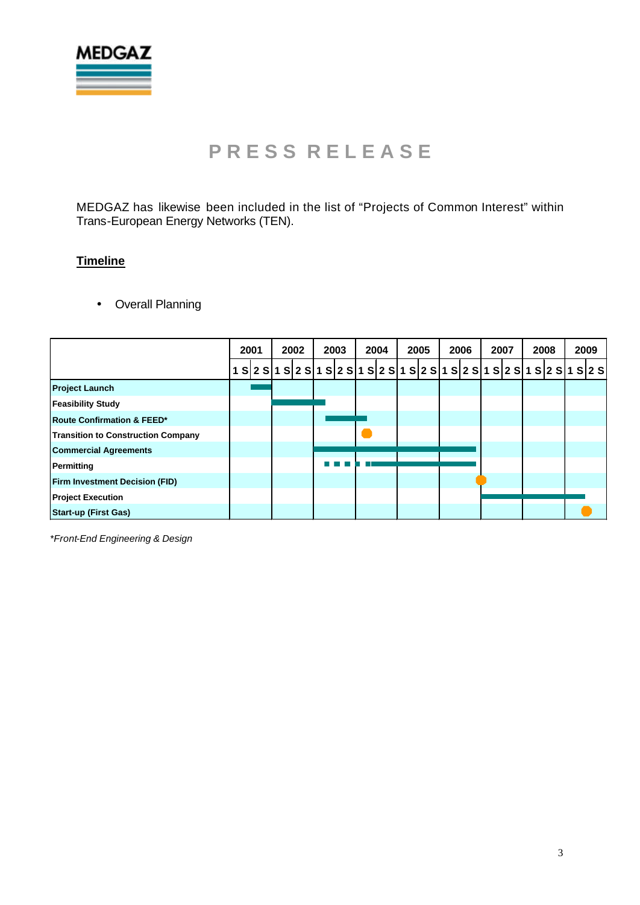

MEDGAZ has likewise been included in the list of "Projects of Common Interest" within Trans-European Energy Networks (TEN).

### **Timeline**

• Overall Planning

|                                           | 2001 |  |  | 2002 |  |  | 2003 |  |  | 2004 |  | 2005 |  | 2006 |  | 2007 |  | 2008 |  |  | 2009 |                                                                                       |  |
|-------------------------------------------|------|--|--|------|--|--|------|--|--|------|--|------|--|------|--|------|--|------|--|--|------|---------------------------------------------------------------------------------------|--|
|                                           |      |  |  |      |  |  |      |  |  |      |  |      |  |      |  |      |  |      |  |  |      | S 2 S 1 S 2 S 1 S 2 S 1 S 2 S 1 S 2 S 1 S 2 S 1 S 2 S 1 S 2 S 1 S 2 S 1 S 2 S 1 S 2 S |  |
| <b>Project Launch</b>                     |      |  |  |      |  |  |      |  |  |      |  |      |  |      |  |      |  |      |  |  |      |                                                                                       |  |
| <b>Feasibility Study</b>                  |      |  |  |      |  |  |      |  |  |      |  |      |  |      |  |      |  |      |  |  |      |                                                                                       |  |
| <b>Route Confirmation &amp; FEED*</b>     |      |  |  |      |  |  |      |  |  |      |  |      |  |      |  |      |  |      |  |  |      |                                                                                       |  |
| <b>Transition to Construction Company</b> |      |  |  |      |  |  |      |  |  |      |  |      |  |      |  |      |  |      |  |  |      |                                                                                       |  |
| <b>Commercial Agreements</b>              |      |  |  |      |  |  |      |  |  |      |  |      |  |      |  |      |  |      |  |  |      |                                                                                       |  |
| Permitting                                |      |  |  |      |  |  |      |  |  |      |  |      |  |      |  |      |  |      |  |  |      |                                                                                       |  |
| <b>Firm Investment Decision (FID)</b>     |      |  |  |      |  |  |      |  |  |      |  |      |  |      |  |      |  |      |  |  |      |                                                                                       |  |
| <b>Project Execution</b>                  |      |  |  |      |  |  |      |  |  |      |  |      |  |      |  |      |  |      |  |  |      |                                                                                       |  |
| <b>Start-up (First Gas)</b>               |      |  |  |      |  |  |      |  |  |      |  |      |  |      |  |      |  |      |  |  |      |                                                                                       |  |

*\*Front-End Engineering & Design*